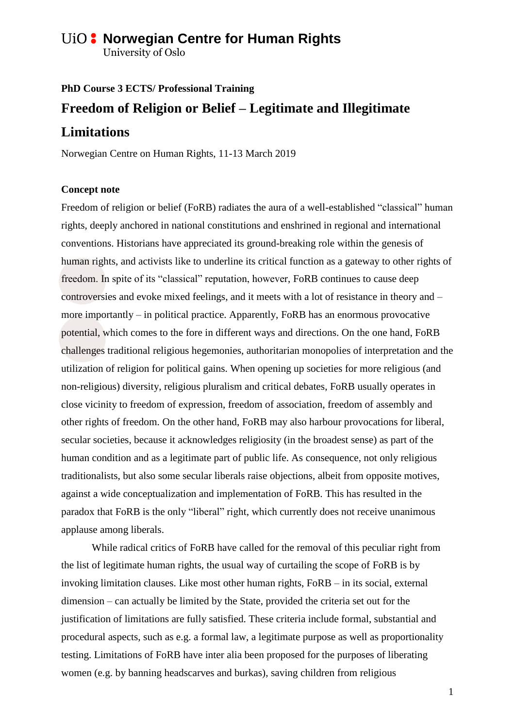## **ViO: Norwegian Centre for Human Rights**

University of Oslo

# **PhD Course 3 ECTS/ Professional Training Freedom of Religion or Belief – Legitimate and Illegitimate Limitations**

Norwegian Centre on Human Rights, 11-13 March 2019

### **Concept note**

Freedom of religion or belief (FoRB) radiates the aura of a well-established "classical" human rights, deeply anchored in national constitutions and enshrined in regional and international conventions. Historians have appreciated its ground-breaking role within the genesis of human rights, and activists like to underline its critical function as a gateway to other rights of freedom. In spite of its "classical" reputation, however, FoRB continues to cause deep controversies and evoke mixed feelings, and it meets with a lot of resistance in theory and – more importantly – in political practice. Apparently, FoRB has an enormous provocative potential, which comes to the fore in different ways and directions. On the one hand, FoRB challenges traditional religious hegemonies, authoritarian monopolies of interpretation and the utilization of religion for political gains. When opening up societies for more religious (and non-religious) diversity, religious pluralism and critical debates, FoRB usually operates in close vicinity to freedom of expression, freedom of association, freedom of assembly and other rights of freedom. On the other hand, FoRB may also harbour provocations for liberal, secular societies, because it acknowledges religiosity (in the broadest sense) as part of the human condition and as a legitimate part of public life. As consequence, not only religious traditionalists, but also some secular liberals raise objections, albeit from opposite motives, against a wide conceptualization and implementation of FoRB. This has resulted in the paradox that FoRB is the only "liberal" right, which currently does not receive unanimous applause among liberals.

While radical critics of FoRB have called for the removal of this peculiar right from the list of legitimate human rights, the usual way of curtailing the scope of FoRB is by invoking limitation clauses. Like most other human rights, FoRB – in its social, external dimension – can actually be limited by the State, provided the criteria set out for the justification of limitations are fully satisfied. These criteria include formal, substantial and procedural aspects, such as e.g. a formal law, a legitimate purpose as well as proportionality testing. Limitations of FoRB have inter alia been proposed for the purposes of liberating women (e.g. by banning headscarves and burkas), saving children from religious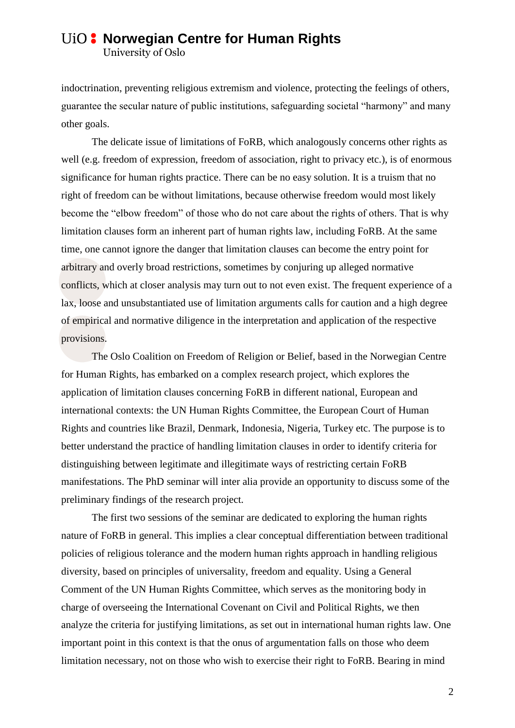## **ViO: Norwegian Centre for Human Rights**

University of Oslo

indoctrination, preventing religious extremism and violence, protecting the feelings of others, guarantee the secular nature of public institutions, safeguarding societal "harmony" and many other goals.

The delicate issue of limitations of FoRB, which analogously concerns other rights as well (e.g. freedom of expression, freedom of association, right to privacy etc.), is of enormous significance for human rights practice. There can be no easy solution. It is a truism that no right of freedom can be without limitations, because otherwise freedom would most likely become the "elbow freedom" of those who do not care about the rights of others. That is why limitation clauses form an inherent part of human rights law, including FoRB. At the same time, one cannot ignore the danger that limitation clauses can become the entry point for arbitrary and overly broad restrictions, sometimes by conjuring up alleged normative conflicts, which at closer analysis may turn out to not even exist. The frequent experience of a lax, loose and unsubstantiated use of limitation arguments calls for caution and a high degree of empirical and normative diligence in the interpretation and application of the respective provisions.

The Oslo Coalition on Freedom of Religion or Belief, based in the Norwegian Centre for Human Rights, has embarked on a complex research project, which explores the application of limitation clauses concerning FoRB in different national, European and international contexts: the UN Human Rights Committee, the European Court of Human Rights and countries like Brazil, Denmark, Indonesia, Nigeria, Turkey etc. The purpose is to better understand the practice of handling limitation clauses in order to identify criteria for distinguishing between legitimate and illegitimate ways of restricting certain FoRB manifestations. The PhD seminar will inter alia provide an opportunity to discuss some of the preliminary findings of the research project.

The first two sessions of the seminar are dedicated to exploring the human rights nature of FoRB in general. This implies a clear conceptual differentiation between traditional policies of religious tolerance and the modern human rights approach in handling religious diversity, based on principles of universality, freedom and equality. Using a General Comment of the UN Human Rights Committee, which serves as the monitoring body in charge of overseeing the International Covenant on Civil and Political Rights, we then analyze the criteria for justifying limitations, as set out in international human rights law. One important point in this context is that the onus of argumentation falls on those who deem limitation necessary, not on those who wish to exercise their right to FoRB. Bearing in mind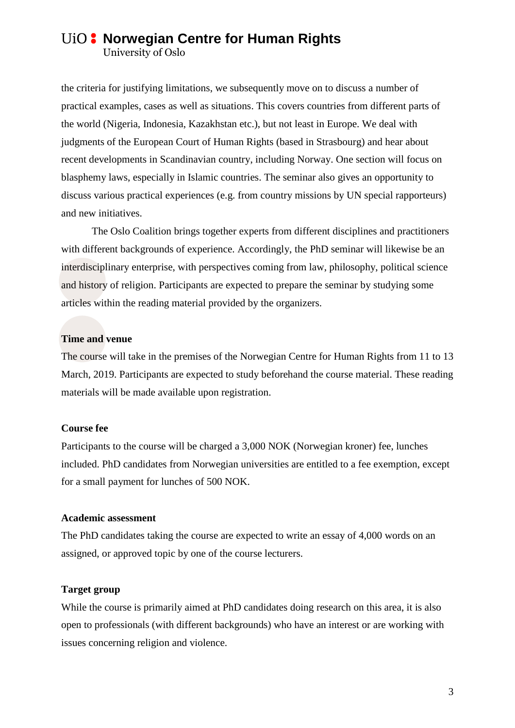## **ViO: Norwegian Centre for Human Rights**

University of Oslo

the criteria for justifying limitations, we subsequently move on to discuss a number of practical examples, cases as well as situations. This covers countries from different parts of the world (Nigeria, Indonesia, Kazakhstan etc.), but not least in Europe. We deal with judgments of the European Court of Human Rights (based in Strasbourg) and hear about recent developments in Scandinavian country, including Norway. One section will focus on blasphemy laws, especially in Islamic countries. The seminar also gives an opportunity to discuss various practical experiences (e.g. from country missions by UN special rapporteurs) and new initiatives.

The Oslo Coalition brings together experts from different disciplines and practitioners with different backgrounds of experience. Accordingly, the PhD seminar will likewise be an interdisciplinary enterprise, with perspectives coming from law, philosophy, political science and history of religion. Participants are expected to prepare the seminar by studying some articles within the reading material provided by the organizers.

## **Time and venue**

The course will take in the premises of the Norwegian Centre for Human Rights from 11 to 13 March, 2019. Participants are expected to study beforehand the course material. These reading materials will be made available upon registration.

#### **Course fee**

Participants to the course will be charged a 3,000 NOK (Norwegian kroner) fee, lunches included. PhD candidates from Norwegian universities are entitled to a fee exemption, except for a small payment for lunches of 500 NOK.

### **Academic assessment**

The PhD candidates taking the course are expected to write an essay of 4,000 words on an assigned, or approved topic by one of the course lecturers.

### **Target group**

While the course is primarily aimed at PhD candidates doing research on this area, it is also open to professionals (with different backgrounds) who have an interest or are working with issues concerning religion and violence.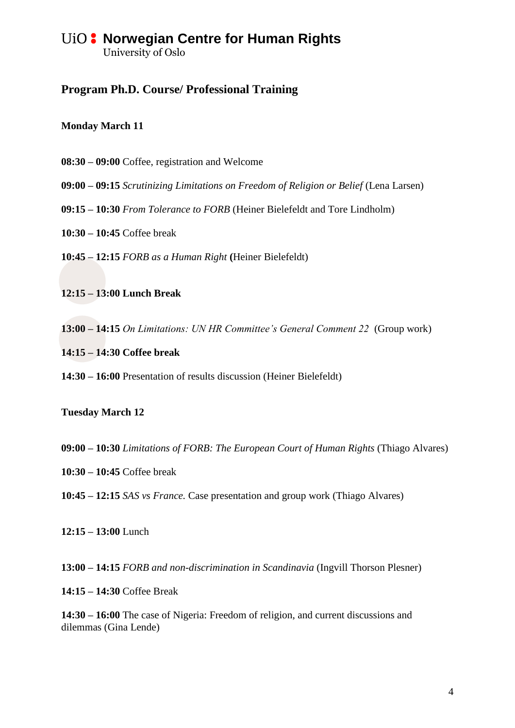## **ViO: Norwegian Centre for Human Rights** University of Oslo

## **Program Ph.D. Course/ Professional Training**

## **Monday March 11**

- **08:30 – 09:00** Coffee, registration and Welcome
- **09:00 – 09:15** *Scrutinizing Limitations on Freedom of Religion or Belief* (Lena Larsen)
- **09:15 – 10:30** *From Tolerance to FORB* (Heiner Bielefeldt and Tore Lindholm)
- **10:30 – 10:45** Coffee break

**10:45 – 12:15** *FORB as a Human Right* **(**Heiner Bielefeldt)

**12:15 – 13:00 Lunch Break**

**13:00 – 14:15** *On Limitations: UN HR Committee's General Comment 22* (Group work)

**14:15 – 14:30 Coffee break**

**14:30 – 16:00** Presentation of results discussion (Heiner Bielefeldt)

## **Tuesday March 12**

- **09:00 – 10:30** *Limitations of FORB: The European Court of Human Rights* (Thiago Alvares)
- **10:30 – 10:45** Coffee break
- **10:45 – 12:15** *SAS vs France.* Case presentation and group work (Thiago Alvares)

**12:15 – 13:00** Lunch

**13:00 – 14:15** *FORB and non-discrimination in Scandinavia* (Ingvill Thorson Plesner)

**14:15 – 14:30** Coffee Break

**14:30 – 16:00** The case of Nigeria: Freedom of religion, and current discussions and dilemmas (Gina Lende)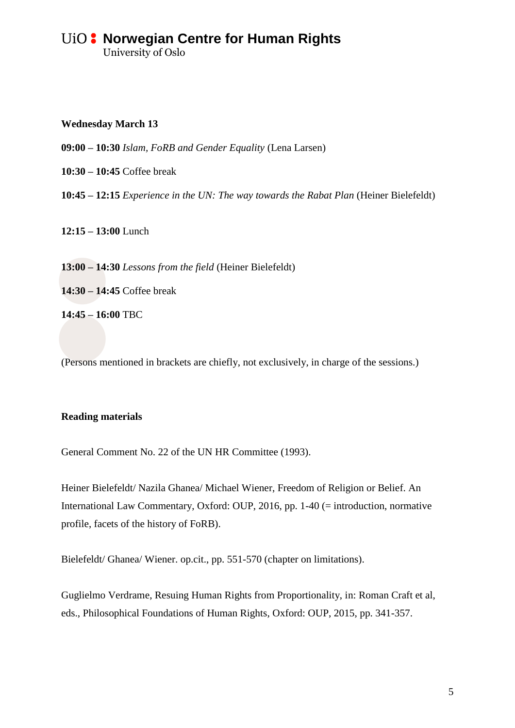## **ViO: Norwegian Centre for Human Rights** University of Oslo

**Wednesday March 13**

**09:00 – 10:30** *Islam, FoRB and Gender Equality* (Lena Larsen)

**10:30 – 10:45** Coffee break

**10:45 – 12:15** *Experience in the UN: The way towards the Rabat Plan* (Heiner Bielefeldt)

**12:15 – 13:00** Lunch

**13:00 – 14:30** *Lessons from the field* (Heiner Bielefeldt)

**14:30 – 14:45** Coffee break

**14:45 – 16:00** TBC

(Persons mentioned in brackets are chiefly, not exclusively, in charge of the sessions.)

### **Reading materials**

General Comment No. 22 of the UN HR Committee (1993).

Heiner Bielefeldt/ Nazila Ghanea/ Michael Wiener, Freedom of Religion or Belief. An International Law Commentary, Oxford: OUP, 2016, pp. 1-40 (= introduction, normative profile, facets of the history of FoRB).

Bielefeldt/ Ghanea/ Wiener. op.cit., pp. 551-570 (chapter on limitations).

Guglielmo Verdrame, Resuing Human Rights from Proportionality, in: Roman Craft et al, eds., Philosophical Foundations of Human Rights, Oxford: OUP, 2015, pp. 341-357.